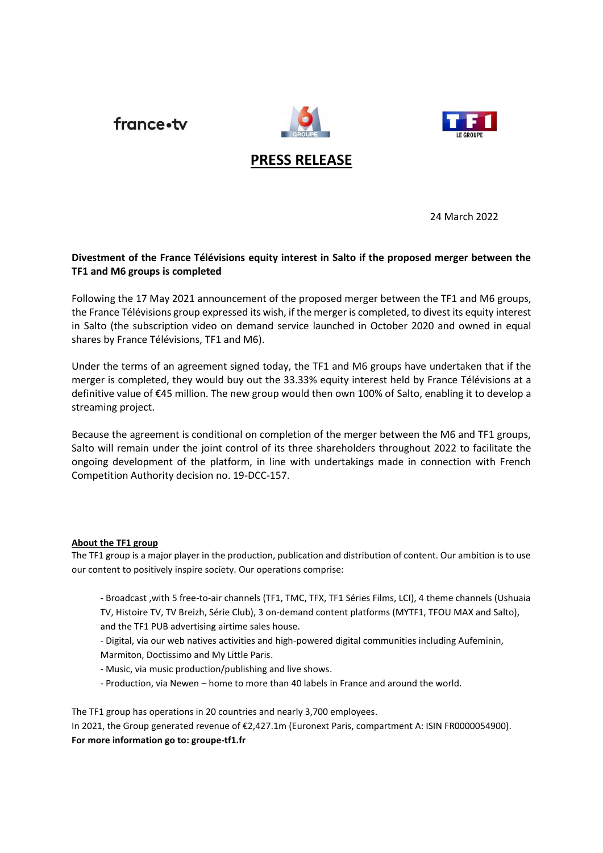france.tv





# **PRESS RELEASE**

24 March 2022

# **Divestment of the France Télévisions equity interest in Salto if the proposed merger between the TF1 and M6 groups is completed**

Following the 17 May 2021 announcement of the proposed merger between the TF1 and M6 groups, the France Télévisions group expressed its wish, if the merger is completed, to divest its equity interest in Salto (the subscription video on demand service launched in October 2020 and owned in equal shares by France Télévisions, TF1 and M6).

Under the terms of an agreement signed today, the TF1 and M6 groups have undertaken that if the merger is completed, they would buy out the 33.33% equity interest held by France Télévisions at a definitive value of €45 million. The new group would then own 100% of Salto, enabling it to develop a streaming project.

Because the agreement is conditional on completion of the merger between the M6 and TF1 groups, Salto will remain under the joint control of its three shareholders throughout 2022 to facilitate the ongoing development of the platform, in line with undertakings made in connection with French Competition Authority decision no. 19-DCC-157.

## **About the TF1 group**

The TF1 group is a major player in the production, publication and distribution of content. Our ambition is to use our content to positively inspire society. Our operations comprise:

- Broadcast ,with 5 free-to-air channels (TF1, TMC, TFX, TF1 Séries Films, LCI), 4 theme channels (Ushuaia TV, Histoire TV, TV Breizh, Série Club), 3 on-demand content platforms (MYTF1, TFOU MAX and Salto), and the TF1 PUB advertising airtime sales house.

- Digital, via our web natives activities and high-powered digital communities including Aufeminin,

Marmiton, Doctissimo and My Little Paris.

- Music, via music production/publishing and live shows.

- Production, via Newen – home to more than 40 labels in France and around the world.

The TF1 group has operations in 20 countries and nearly 3,700 employees.

In 2021, the Group generated revenue of €2,427.1m (Euronext Paris, compartment A: ISIN FR0000054900). **For more information go to: groupe-tf1.fr**